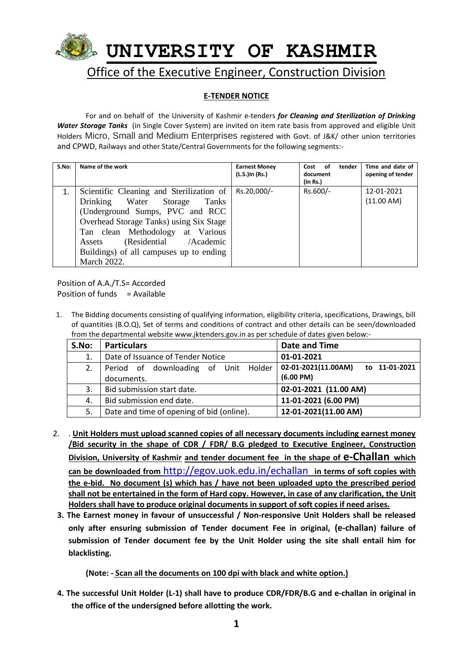

# **E-TENDER NOTICE**

For and on behalf of the University of Kashmir e-tenders *for Cleaning and Sterilization of Drinking Water Storage Tanks* (in Single Cover System) are invited on item rate basis from approved and eligible Unit Holders Micro, Small and Medium Enterprises registered with Govt. of J&K/ other union territories and CPWD, Railways and other State/Central Governments for the following segments:-

| S.No: | Name of the work                                                                                                                                                                                                                                                                            | <b>Earnest Money</b><br>(L.S.)In (Rs.) | tender<br>Cost of<br>document<br>(In Rs.) | Time and date of<br>opening of tender |
|-------|---------------------------------------------------------------------------------------------------------------------------------------------------------------------------------------------------------------------------------------------------------------------------------------------|----------------------------------------|-------------------------------------------|---------------------------------------|
|       | Scientific Cleaning and Sterilization of<br>Drinking Water Storage<br>Tanks<br>(Underground Sumps, PVC and RCC<br>Overhead Storage Tanks) using Six Stage<br>Tan clean Methodology at Various<br>(Residential /Academic<br>Assets<br>Buildings) of all campuses up to ending<br>March 2022. | Rs.20,000/-                            | Rs.600/-                                  | 12-01-2021<br>(11.00 AM)              |

Position of A.A./T.S= Accorded Position of funds  $=$  Available

1. The Bidding documents consisting of qualifying information, eligibility criteria, specifications, Drawings, bill of quantities (B.O.Q), Set of terms and conditions of contract and other details can be seen/downloaded from the departmental website www.jktenders.gov.in as per schedule of dates given below:-

| S.No: | <b>Particulars</b>                        | Date and Time                            |  |
|-------|-------------------------------------------|------------------------------------------|--|
| 1.    | Date of Issuance of Tender Notice         | 01-01-2021                               |  |
| 2.    | Period of downloading of Unit Holder      | $  02-01-2021(11.00AM)$<br>to 11-01-2021 |  |
|       | documents.                                | (6.00 P M)                               |  |
| 3.    | Bid submission start date.                | 02-01-2021 (11.00 AM)                    |  |
| 4.    | Bid submission end date.                  | 11-01-2021 (6.00 PM)                     |  |
| 5.    | Date and time of opening of bid (online). | 12-01-2021(11.00 AM)                     |  |

- 2. . **Unit Holders must upload scanned copies of all necessary documents including earnest money /Bid security in the shape of CDR / FDR/ B.G pledged to Executive Engineer, Construction Division, University of Kashmir and tender document fee in the shape of e-Challan which can be downloaded from** <http://egov.uok.edu.in/echallan> **in terms of soft copies with the e-bid. No document (s) which has / have not been uploaded upto the prescribed period shall not be entertained in the form of Hard copy. However, in case of any clarification, the Unit Holders shall have to produce original documents in support of soft copies if need arises.**
- **3. The Earnest money in favour of unsuccessful / Non-responsive Unit Holders shall be released only after ensuring submission of Tender document Fee in original, (e-challan) failure of submission of Tender document fee by the Unit Holder using the site shall entail him for blacklisting.**

## **(Note: - Scan all the documents on 100 dpi with black and white option.)**

**4. The successful Unit Holder (L-1) shall have to produce CDR/FDR/B.G and e-challan in original in the office of the undersigned before allotting the work.**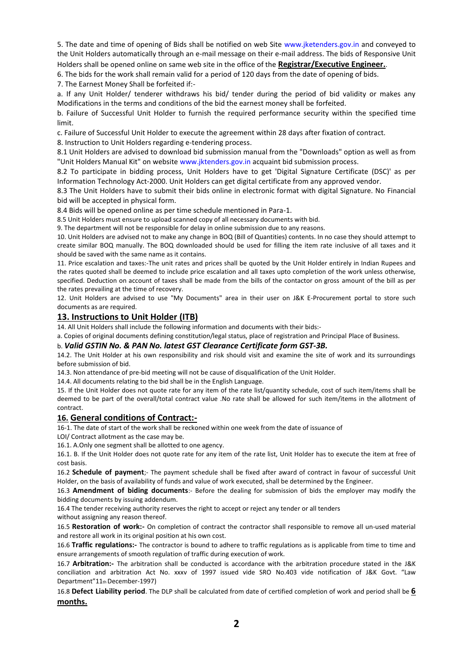5. The date and time of opening of Bids shall be notified on web Site www.jketenders.gov.in and conveyed to the Unit Holders automatically through an e-mail message on their e-mail address. The bids of Responsive Unit Holders shall be opened online on same web site in the office of the **Registrar/Executive Engineer.**.

6. The bids for the work shall remain valid for a period of 120 days from the date of opening of bids.

7. The Earnest Money Shall be forfeited if:-

a. If any Unit Holder/ tenderer withdraws his bid/ tender during the period of bid validity or makes any Modifications in the terms and conditions of the bid the earnest money shall be forfeited.

b. Failure of Successful Unit Holder to furnish the required performance security within the specified time limit.

c. Failure of Successful Unit Holder to execute the agreement within 28 days after fixation of contract.

8. Instruction to Unit Holders regarding e-tendering process.

8.1 Unit Holders are advised to download bid submission manual from the "Downloads" option as well as from "Unit Holders Manual Kit" on website www.jktenders.gov.in acquaint bid submission process.

8.2 To participate in bidding process, Unit Holders have to get 'Digital Signature Certificate (DSC)' as per Information Technology Act-2000. Unit Holders can get digital certificate from any approved vendor.

8.3 The Unit Holders have to submit their bids online in electronic format with digital Signature. No Financial bid will be accepted in physical form.

8.4 Bids will be opened online as per time schedule mentioned in Para-1.

8.5 Unit Holders must ensure to upload scanned copy of all necessary documents with bid.

9. The department will not be responsible for delay in online submission due to any reasons.

10. Unit Holders are advised not to make any change in BOQ (Bill of Quantities) contents. In no case they should attempt to create similar BOQ manually. The BOQ downloaded should be used for filling the item rate inclusive of all taxes and it should be saved with the same name as it contains.

11. Price escalation and taxes:-The unit rates and prices shall be quoted by the Unit Holder entirely in Indian Rupees and the rates quoted shall be deemed to include price escalation and all taxes upto completion of the work unless otherwise, specified. Deduction on account of taxes shall be made from the bills of the contactor on gross amount of the bill as per the rates prevailing at the time of recovery.

12. Unit Holders are advised to use "My Documents" area in their user on J&K E-Procurement portal to store such documents as are required.

### **13. Instructions to Unit Holder (ITB)**

14. All Unit Holders shall include the following information and documents with their bids:-

a. Copies of original documents defining constitution/legal status, place of registration and Principal Place of Business.

#### b. *Valid GSTIN No. & PAN No. latest GST Clearance Certificate form GST-3B.*

14.2. The Unit Holder at his own responsibility and risk should visit and examine the site of work and its surroundings before submission of bid.

14.3. Non attendance of pre-bid meeting will not be cause of disqualification of the Unit Holder.

14.4. All documents relating to the bid shall be in the English Language.

15. If the Unit Holder does not quote rate for any item of the rate list/quantity schedule, cost of such item/items shall be deemed to be part of the overall/total contract value .No rate shall be allowed for such item/items in the allotment of contract.

#### **16. General conditions of Contract:-**

16-1. The date of start of the work shall be reckoned within one week from the date of issuance of

LOI/ Contract allotment as the case may be.

16.1. A.Only one segment shall be allotted to one agency.

16.1. B. If the Unit Holder does not quote rate for any item of the rate list, Unit Holder has to execute the item at free of cost basis.

16.2 **Schedule of payment**;- The payment schedule shall be fixed after award of contract in favour of successful Unit Holder, on the basis of availability of funds and value of work executed, shall be determined by the Engineer.

16.3 **Amendment of biding documents**:- Before the dealing for submission of bids the employer may modify the bidding documents by issuing addendum.

16.4 The tender receiving authority reserves the right to accept or reject any tender or all tenders

without assigning any reason thereof.

16.5 **Restoration of work:-** On completion of contract the contractor shall responsible to remove all un-used material and restore all work in its original position at his own cost.

16.6 **Traffic regulations:-** The contractor is bound to adhere to traffic regulations as is applicable from time to time and ensure arrangements of smooth regulation of traffic during execution of work.

16.7 **Arbitration:-** The arbitration shall be conducted is accordance with the arbitration procedure stated in the J&K conciliation and arbitration Act No. xxxv of 1997 issued vide SRO No.403 vide notification of J&K Govt. "Law Department"11th December-1997)

16.8 **Defect Liability period**. The DLP shall be calculated from date of certified completion of work and period shall be **6 months.**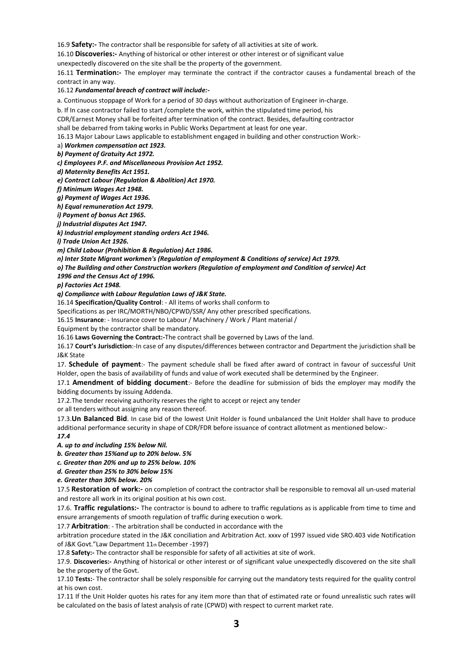16.9 **Safety:-** The contractor shall be responsible for safety of all activities at site of work.

16.10 **Discoveries:-** Anything of historical or other interest or other interest or of significant value

unexpectedly discovered on the site shall be the property of the government.

16.11 **Termination:-** The employer may terminate the contract if the contractor causes a fundamental breach of the contract in any way.

#### 16.12 *Fundamental breach of contract will include:-*

a. Continuous stoppage of Work for a period of 30 days without authorization of Engineer in-charge.

b. If In case contractor failed to start /complete the work, within the stipulated time period, his

CDR/Earnest Money shall be forfeited after termination of the contract. Besides, defaulting contractor

shall be debarred from taking works in Public Works Department at least for one year.

16.13 Major Labour Laws applicable to establishment engaged in building and other construction Work:-

a) *Workmen compensation act 1923.*

*b) Payment of Gratuity Act 1972.*

*c) Employees P.F. and Miscellaneous Provision Act 1952.*

*d) Maternity Benefits Act 1951.*

*e) Contract Labour (Regulation & Abolition) Act 1970.*

*f) Minimum Wages Act 1948.*

*g) Payment of Wages Act 1936.*

*h) Equal remuneration Act 1979.*

*i) Payment of bonus Act 1965.*

*j) Industrial disputes Act 1947.*

*k) Industrial employment standing orders Act 1946.*

*l) Trade Union Act 1926.*

*m) Child Labour (Prohibition & Regulation) Act 1986.*

*n) Inter State Migrant workmen's (Regulation of employment & Conditions of service) Act 1979.*

*o) The Building and other Construction workers (Regulation of employment and Condition of service) Act*

*1996 and the Census Act of 1996.*

*p) Factories Act 1948.*

*q) Compliance with Labour Regulation Laws of J&K State.*

16.14 **Specification/Quality Control**: - All items of works shall conform to

Specifications as per IRC/MORTH/NBO/CPWD/SSR/ Any other prescribed specifications.

16.15 **Insurance**: - Insurance cover to Labour / Machinery / Work / Plant material /

Equipment by the contractor shall be mandatory.

16.16 **Laws Governing the Contract:-**The contract shall be governed by Laws of the land.

16.17 **Court's Jurisdiction**:-In case of any disputes/differences between contractor and Department the jurisdiction shall be J&K State

17. **Schedule of payment**:- The payment schedule shall be fixed after award of contract in favour of successful Unit Holder, open the basis of availability of funds and value of work executed shall be determined by the Engineer.

17.1 **Amendment of bidding document**:- Before the deadline for submission of bids the employer may modify the bidding documents by issuing Addenda.

17.2.The tender receiving authority reserves the right to accept or reject any tender

or all tenders without assigning any reason thereof.

17.3.**Un Balanced Bid**. In case bid of the lowest Unit Holder is found unbalanced the Unit Holder shall have to produce additional performance security in shape of CDR/FDR before issuance of contract allotment as mentioned below:-

*17.4 A. up to and including 15% below Nil.*

*b. Greater than 15%and up to 20% below. 5%*

*c. Greater than 20% and up to 25% below. 10%*

*d. Greater than 25% to 30% below 15%*

*e. Greater than 30% below. 20%*

17.5 **Restoration of work:-** on completion of contract the contractor shall be responsible to removal all un-used material and restore all work in its original position at his own cost.

17.6. **Traffic regulations:-** The contractor is bound to adhere to traffic regulations as is applicable from time to time and ensure arrangements of smooth regulation of traffic during execution o work.

17.7 **Arbitration**: - The arbitration shall be conducted in accordance with the

arbitration procedure stated in the J&K conciliation and Arbitration Act. xxxv of 1997 issued vide SRO.403 vide Notification of J&K Govt."Law Department 11th December -1997)

17.8 **Safety:-** The contractor shall be responsible for safety of all activities at site of work.

17.9. **Discoveries:-** Anything of historical or other interest or of significant value unexpectedly discovered on the site shall be the property of the Govt.

17.10 **Tests:**- The contractor shall be solely responsible for carrying out the mandatory tests required for the quality control at his own cost.

17.11 If the Unit Holder quotes his rates for any item more than that of estimated rate or found unrealistic such rates will be calculated on the basis of latest analysis of rate (CPWD) with respect to current market rate.